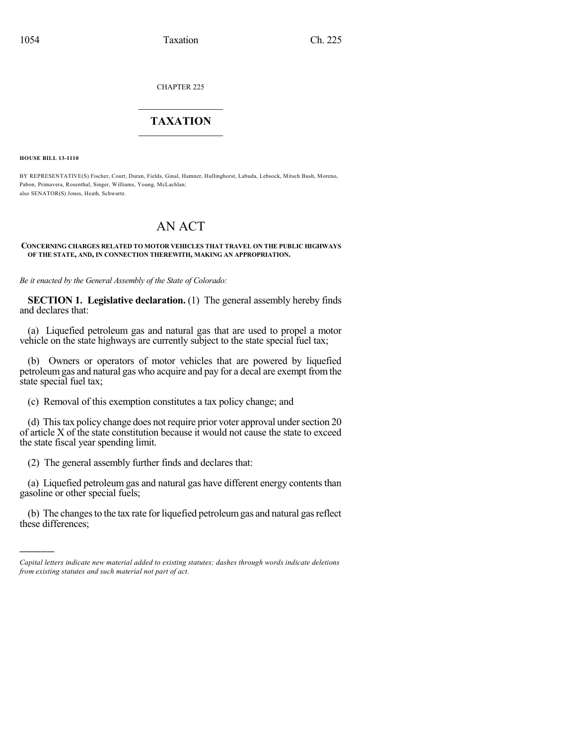CHAPTER 225

## $\mathcal{L}_\text{max}$  . The set of the set of the set of the set of the set of the set of the set of the set of the set of the set of the set of the set of the set of the set of the set of the set of the set of the set of the set **TAXATION**  $\_$

**HOUSE BILL 13-1110**

)))))

BY REPRESENTATIVE(S) Fischer, Court, Duran, Fields, Ginal, Hamner, Hullinghorst, Labuda, Lebsock, Mitsch Bush, Moreno, Pabon, Primavera, Rosenthal, Singer, Williams, Young, McLachlan; also SENATOR(S) Jones, Heath, Schwartz.

# AN ACT

#### **CONCERNING CHARGES RELATED TO MOTOR VEHICLES THAT TRAVEL ON THE PUBLIC HIGHWAYS OF THE STATE, AND, IN CONNECTION THEREWITH, MAKING AN APPROPRIATION.**

*Be it enacted by the General Assembly of the State of Colorado:*

**SECTION 1. Legislative declaration.** (1) The general assembly hereby finds and declares that:

(a) Liquefied petroleum gas and natural gas that are used to propel a motor vehicle on the state highways are currently subject to the state special fuel tax;

(b) Owners or operators of motor vehicles that are powered by liquefied petroleumgas and natural gas who acquire and pay for a decal are exempt fromthe state special fuel tax;

(c) Removal of this exemption constitutes a tax policy change; and

(d) This tax policy change does not require prior voter approval under section 20 of article X of the state constitution because it would not cause the state to exceed the state fiscal year spending limit.

(2) The general assembly further finds and declares that:

(a) Liquefied petroleum gas and natural gas have different energy contents than gasoline or other special fuels;

(b) The changes to the tax rate for liquefied petroleum gas and natural gas reflect these differences;

*Capital letters indicate new material added to existing statutes; dashes through words indicate deletions from existing statutes and such material not part of act.*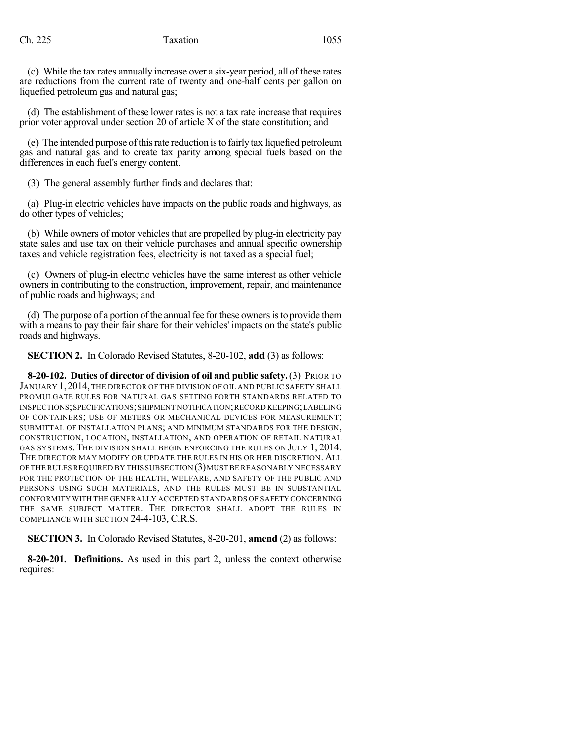(c) While the tax rates annually increase over a six-year period, all of these rates are reductions from the current rate of twenty and one-half cents per gallon on liquefied petroleum gas and natural gas;

(d) The establishment of these lower rates is not a tax rate increase that requires prior voter approval under section 20 of article X of the state constitution; and

(e) The intended purpose ofthisrate reduction isto fairly tax liquefied petroleum gas and natural gas and to create tax parity among special fuels based on the differences in each fuel's energy content.

(3) The general assembly further finds and declares that:

(a) Plug-in electric vehicles have impacts on the public roads and highways, as do other types of vehicles;

(b) While owners of motor vehicles that are propelled by plug-in electricity pay state sales and use tax on their vehicle purchases and annual specific ownership taxes and vehicle registration fees, electricity is not taxed as a special fuel;

(c) Owners of plug-in electric vehicles have the same interest as other vehicle owners in contributing to the construction, improvement, repair, and maintenance of public roads and highways; and

(d) The purpose of a portion of the annual fee for these owners is to provide them with a means to pay their fair share for their vehicles' impacts on the state's public roads and highways.

**SECTION 2.** In Colorado Revised Statutes, 8-20-102, **add** (3) as follows:

**8-20-102. Duties of director of division of oil and public safety.** (3) PRIOR TO JANUARY 1, 2014, THE DIRECTOR OF THE DIVISION OF OIL AND PUBLIC SAFETY SHALL PROMULGATE RULES FOR NATURAL GAS SETTING FORTH STANDARDS RELATED TO INSPECTIONS;SPECIFICATIONS;SHIPMENT NOTIFICATION;RECORD KEEPING;LABELING OF CONTAINERS; USE OF METERS OR MECHANICAL DEVICES FOR MEASUREMENT; SUBMITTAL OF INSTALLATION PLANS; AND MINIMUM STANDARDS FOR THE DESIGN, CONSTRUCTION, LOCATION, INSTALLATION, AND OPERATION OF RETAIL NATURAL GAS SYSTEMS. THE DIVISION SHALL BEGIN ENFORCING THE RULES ON JULY 1, 2014. THE DIRECTOR MAY MODIFY OR UPDATE THE RULES IN HIS OR HER DISCRETION. ALL OF THE RULES REQUIRED BY THIS SUBSECTION (3) MUST BE REASONABLY NECESSARY FOR THE PROTECTION OF THE HEALTH, WELFARE, AND SAFETY OF THE PUBLIC AND PERSONS USING SUCH MATERIALS, AND THE RULES MUST BE IN SUBSTANTIAL CONFORMITY WITH THE GENERALLY ACCEPTED STANDARDS OF SAFETY CONCERNING THE SAME SUBJECT MATTER. THE DIRECTOR SHALL ADOPT THE RULES IN COMPLIANCE WITH SECTION 24-4-103, C.R.S.

**SECTION 3.** In Colorado Revised Statutes, 8-20-201, **amend** (2) as follows:

**8-20-201. Definitions.** As used in this part 2, unless the context otherwise requires: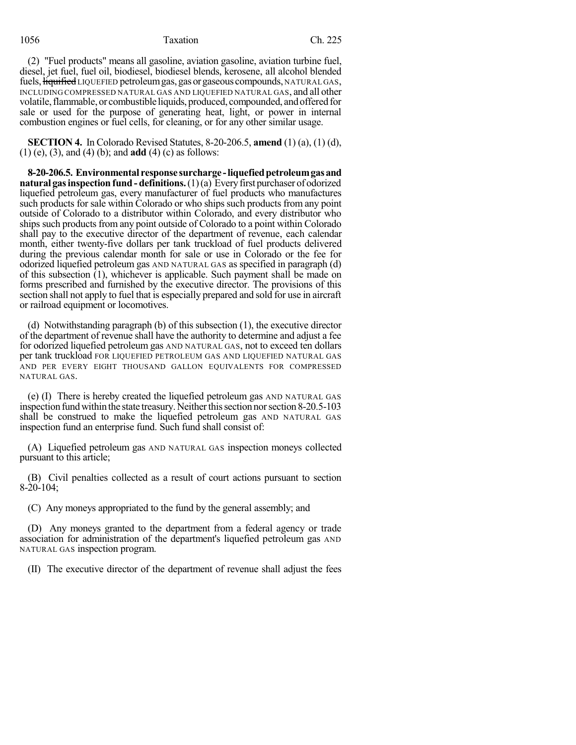## 1056 Taxation Ch. 225

(2) "Fuel products" means all gasoline, aviation gasoline, aviation turbine fuel, diesel, jet fuel, fuel oil, biodiesel, biodiesel blends, kerosene, all alcohol blended fuels,  $\frac{1}{2}$  figuified LIQUEFIED petroleum gas, gas or gaseous compounds, NATURAL GAS, INCLUDING COMPRESSED NATURAL GAS AND LIQUEFIED NATURAL GAS, and all other volatile,flammable, or combustible liquids, produced, compounded, andofferedfor sale or used for the purpose of generating heat, light, or power in internal combustion engines or fuel cells, for cleaning, or for any other similar usage.

**SECTION 4.** In Colorado Revised Statutes, 8-20-206.5, **amend** (1) (a), (1) (d), (1) (e), (3), and (4) (b); and **add** (4) (c) as follows:

**8-20-206.5. Environmental response surcharge -liquefiedpetroleumgasand natural gasinspection fund - definitions.**(1)(a) Everyfirst purchaser of odorized liquefied petroleum gas, every manufacturer of fuel products who manufactures such products for sale within Colorado or who ships such products from any point outside of Colorado to a distributor within Colorado, and every distributor who ships such products from any point outside of Colorado to a point within Colorado shall pay to the executive director of the department of revenue, each calendar month, either twenty-five dollars per tank truckload of fuel products delivered during the previous calendar month for sale or use in Colorado or the fee for odorized liquefied petroleum gas AND NATURAL GAS as specified in paragraph (d) of this subsection  $(1)$ , whichever is applicable. Such payment shall be made on forms prescribed and furnished by the executive director. The provisions of this section shall not apply to fuel that is especially prepared and sold for use in aircraft or railroad equipment or locomotives.

(d) Notwithstanding paragraph (b) of this subsection (1), the executive director of the department of revenue shall have the authority to determine and adjust a fee for odorized liquefied petroleum gas AND NATURAL GAS, not to exceed ten dollars per tank truckload FOR LIQUEFIED PETROLEUM GAS AND LIQUEFIED NATURAL GAS AND PER EVERY EIGHT THOUSAND GALLON EQUIVALENTS FOR COMPRESSED NATURAL GAS.

(e) (I) There is hereby created the liquefied petroleum gas AND NATURAL GAS inspection fund within the state treasury. Neither this section nor section 8-20.5-103 shall be construed to make the liquefied petroleum gas AND NATURAL GAS inspection fund an enterprise fund. Such fund shall consist of:

(A) Liquefied petroleum gas AND NATURAL GAS inspection moneys collected pursuant to this article;

(B) Civil penalties collected as a result of court actions pursuant to section 8-20-104;

(C) Any moneys appropriated to the fund by the general assembly; and

(D) Any moneys granted to the department from a federal agency or trade association for administration of the department's liquefied petroleum gas AND NATURAL GAS inspection program.

(II) The executive director of the department of revenue shall adjust the fees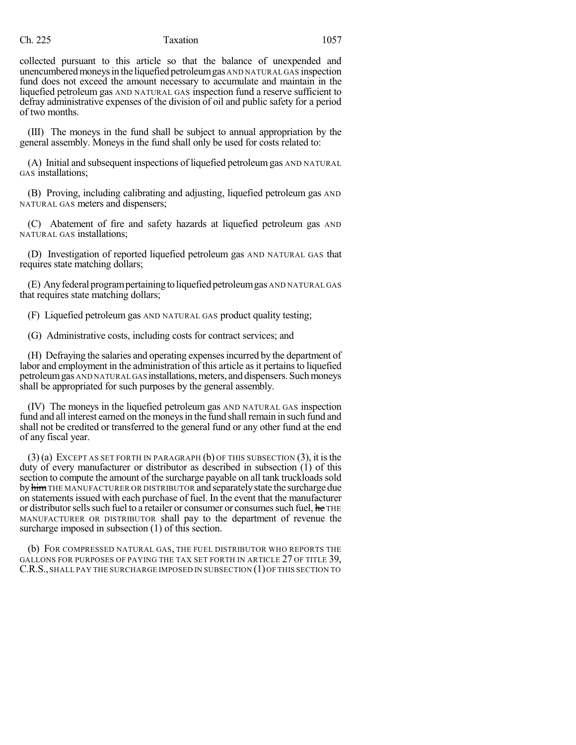### Ch. 225 Taxation 1057

collected pursuant to this article so that the balance of unexpended and unencumbered moneys in the liquefied petroleum gas AND NATURAL GAS inspection fund does not exceed the amount necessary to accumulate and maintain in the liquefied petroleum gas AND NATURAL GAS inspection fund a reserve sufficient to defray administrative expenses of the division of oil and public safety for a period of two months.

(III) The moneys in the fund shall be subject to annual appropriation by the general assembly. Moneys in the fund shall only be used for costs related to:

(A) Initial and subsequent inspections of liquefied petroleumgas AND NATURAL GAS installations;

(B) Proving, including calibrating and adjusting, liquefied petroleum gas AND NATURAL GAS meters and dispensers;

(C) Abatement of fire and safety hazards at liquefied petroleum gas AND NATURAL GAS installations;

(D) Investigation of reported liquefied petroleum gas AND NATURAL GAS that requires state matching dollars;

(E) Anyfederal programpertainingtoliquefiedpetroleumgas AND NATURAL GAS that requires state matching dollars;

(F) Liquefied petroleum gas AND NATURAL GAS product quality testing;

(G) Administrative costs, including costs for contract services; and

(H) Defraying the salaries and operating expensesincurred by the department of labor and employment in the administration of this article as it pertains to liquefied petroleum gas AND NATURAL GAS installations, meters, and dispensers. Such moneys shall be appropriated for such purposes by the general assembly.

(IV) The moneys in the liquefied petroleum gas AND NATURAL GAS inspection fund and all interest earned on the moneys in the fund shall remain in such fund and shall not be credited or transferred to the general fund or any other fund at the end of any fiscal year.

 $(3)$  (a) EXCEPT AS SET FORTH IN PARAGRAPH (b) OF THIS SUBSECTION (3), it is the duty of every manufacturer or distributor as described in subsection (1) of this section to compute the amount of the surcharge payable on all tank truckloads sold by him THE MANUFACTURER OR DISTRIBUTOR and separately state the surcharge due on statementsissued with each purchase of fuel. In the event that the manufacturer or distributor sells such fuel to a retailer or consumer or consumes such fuel, he THE MANUFACTURER OR DISTRIBUTOR shall pay to the department of revenue the surcharge imposed in subsection (1) of this section.

(b) FOR COMPRESSED NATURAL GAS, THE FUEL DISTRIBUTOR WHO REPORTS THE GALLONS FOR PURPOSES OF PAYING THE TAX SET FORTH IN ARTICLE 27 OF TITLE 39, C.R.S., SHALL PAY THE SURCHARGE IMPOSED IN SUBSECTION (1) OF THIS SECTION TO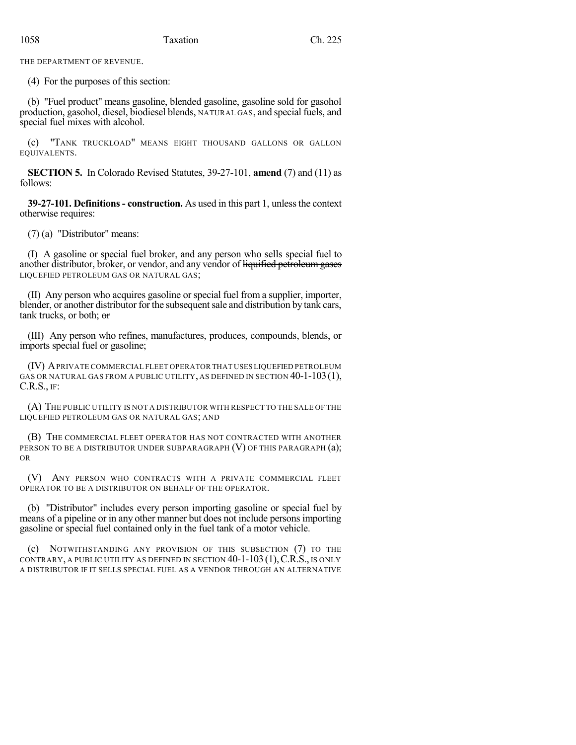THE DEPARTMENT OF REVENUE.

(4) For the purposes of this section:

(b) "Fuel product" means gasoline, blended gasoline, gasoline sold for gasohol production, gasohol, diesel, biodiesel blends, NATURAL GAS, and special fuels, and special fuel mixes with alcohol.

(c) "TANK TRUCKLOAD" MEANS EIGHT THOUSAND GALLONS OR GALLON EQUIVALENTS.

**SECTION 5.** In Colorado Revised Statutes, 39-27-101, **amend** (7) and (11) as follows:

**39-27-101. Definitions- construction.** As used in this part 1, unlessthe context otherwise requires:

(7) (a) "Distributor" means:

(I) A gasoline or special fuel broker, and any person who sells special fuel to another distributor, broker, or vendor, and any vendor of liquified petroleum gases LIQUEFIED PETROLEUM GAS OR NATURAL GAS;

(II) Any person who acquires gasoline or special fuel from a supplier, importer, blender, or another distributor for the subsequent sale and distribution by tank cars, tank trucks, or both; or

(III) Any person who refines, manufactures, produces, compounds, blends, or imports special fuel or gasoline;

(IV) APRIVATE COMMERCIAL FLEET OPERATOR THAT USES LIQUEFIED PETROLEUM GAS OR NATURAL GAS FROM A PUBLIC UTILITY, AS DEFINED IN SECTION 40-1-103(1), C.R.S., IF:

(A) THE PUBLIC UTILITY IS NOT A DISTRIBUTOR WITH RESPECT TO THE SALE OF THE LIQUEFIED PETROLEUM GAS OR NATURAL GAS; AND

(B) THE COMMERCIAL FLEET OPERATOR HAS NOT CONTRACTED WITH ANOTHER PERSON TO BE A DISTRIBUTOR UNDER SUBPARAGRAPH (V) OF THIS PARAGRAPH (a); OR

(V) ANY PERSON WHO CONTRACTS WITH A PRIVATE COMMERCIAL FLEET OPERATOR TO BE A DISTRIBUTOR ON BEHALF OF THE OPERATOR.

(b) "Distributor" includes every person importing gasoline or special fuel by means of a pipeline or in any other manner but does not include persons importing gasoline or special fuel contained only in the fuel tank of a motor vehicle.

(c) NOTWITHSTANDING ANY PROVISION OF THIS SUBSECTION (7) TO THE CONTRARY, A PUBLIC UTILITY AS DEFINED IN SECTION 40-1-103(1),C.R.S., IS ONLY A DISTRIBUTOR IF IT SELLS SPECIAL FUEL AS A VENDOR THROUGH AN ALTERNATIVE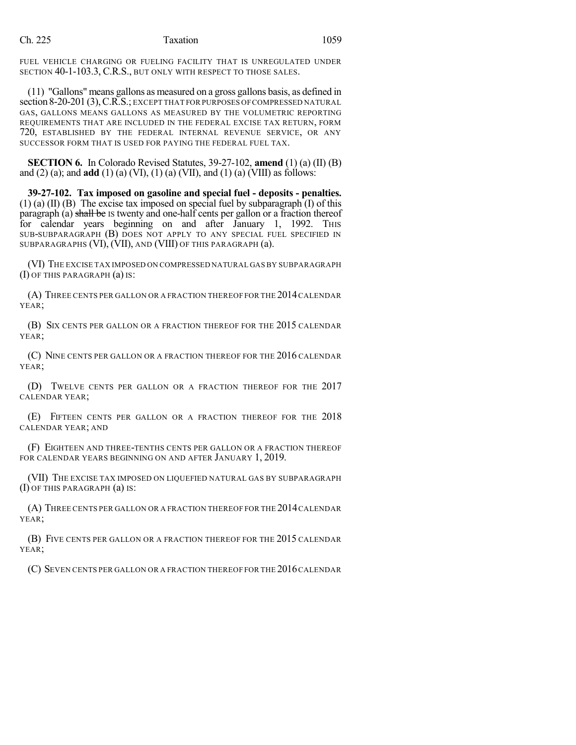FUEL VEHICLE CHARGING OR FUELING FACILITY THAT IS UNREGULATED UNDER SECTION 40-1-103.3, C.R.S., BUT ONLY WITH RESPECT TO THOSE SALES.

(11) "Gallons" means gallons as measured on a gross gallons basis, as defined in section 8-20-201 (3),C.R.S.; EXCEPT THAT FOR PURPOSES OFCOMPRESSED NATURAL GAS, GALLONS MEANS GALLONS AS MEASURED BY THE VOLUMETRIC REPORTING REQUIREMENTS THAT ARE INCLUDED IN THE FEDERAL EXCISE TAX RETURN, FORM 720, ESTABLISHED BY THE FEDERAL INTERNAL REVENUE SERVICE, OR ANY SUCCESSOR FORM THAT IS USED FOR PAYING THE FEDERAL FUEL TAX.

**SECTION 6.** In Colorado Revised Statutes, 39-27-102, **amend** (1) (a) (II) (B) and (2) (a); and **add** (1) (a) (VI), (1) (a) (VII), and (1) (a) (VIII) as follows:

**39-27-102. Tax imposed on gasoline and special fuel - deposits - penalties.**  $(1)$  (a)  $(II)$  (B) The excise tax imposed on special fuel by subparagraph  $(I)$  of this paragraph (a) shall be IS twenty and one-half cents per gallon or a fraction thereof for calendar years beginning on and after January 1, 1992. This SUB-SUBPARAGRAPH (B) DOES NOT APPLY TO ANY SPECIAL FUEL SPECIFIED IN SUBPARAGRAPHS (VI), (VII), AND (VIII) OF THIS PARAGRAPH (a).

(VI) THE EXCISE TAX IMPOSED ON COMPRESSED NATURAL GAS BY SUBPARAGRAPH (I) OF THIS PARAGRAPH (a) IS:

(A) THREE CENTS PER GALLON OR A FRACTION THEREOF FOR THE 2014 CALENDAR YEAR;

(B) SIX CENTS PER GALLON OR A FRACTION THEREOF FOR THE 2015 CALENDAR YEAR;

(C) NINE CENTS PER GALLON OR A FRACTION THEREOF FOR THE 2016 CALENDAR YEAR;

(D) TWELVE CENTS PER GALLON OR A FRACTION THEREOF FOR THE 2017 CALENDAR YEAR;

(E) FIFTEEN CENTS PER GALLON OR A FRACTION THEREOF FOR THE 2018 CALENDAR YEAR; AND

(F) EIGHTEEN AND THREE-TENTHS CENTS PER GALLON OR A FRACTION THEREOF FOR CALENDAR YEARS BEGINNING ON AND AFTER JANUARY 1, 2019.

(VII) THE EXCISE TAX IMPOSED ON LIQUEFIED NATURAL GAS BY SUBPARAGRAPH (I) OF THIS PARAGRAPH (a) IS:

(A) THREE CENTS PER GALLON OR A FRACTION THEREOF FOR THE 2014CALENDAR YEAR;

(B) FIVE CENTS PER GALLON OR A FRACTION THEREOF FOR THE 2015 CALENDAR YEAR;

(C) SEVEN CENTS PER GALLON OR A FRACTION THEREOF FOR THE 2016CALENDAR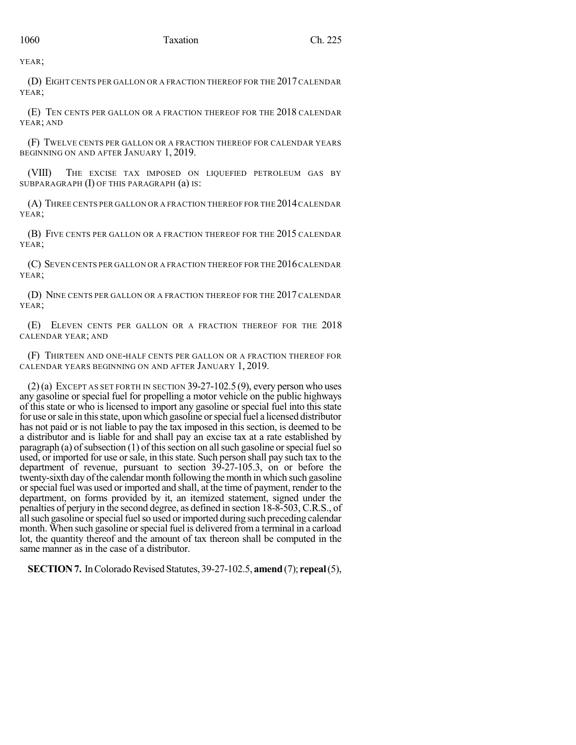YEAR;

(D) EIGHT CENTS PER GALLON OR A FRACTION THEREOF FOR THE 2017 CALENDAR YEAR;

(E) TEN CENTS PER GALLON OR A FRACTION THEREOF FOR THE 2018 CALENDAR YEAR; AND

(F) TWELVE CENTS PER GALLON OR A FRACTION THEREOF FOR CALENDAR YEARS BEGINNING ON AND AFTER JANUARY 1, 2019.

(VIII) THE EXCISE TAX IMPOSED ON LIQUEFIED PETROLEUM GAS BY SUBPARAGRAPH (I) OF THIS PARAGRAPH (a) IS:

(A) THREE CENTS PER GALLON OR A FRACTION THEREOF FOR THE 2014CALENDAR YEAR;

(B) FIVE CENTS PER GALLON OR A FRACTION THEREOF FOR THE 2015 CALENDAR YEAR;

(C) SEVEN CENTS PER GALLON OR A FRACTION THEREOF FOR THE 2016CALENDAR YEAR;

(D) NINE CENTS PER GALLON OR A FRACTION THEREOF FOR THE 2017 CALENDAR YEAR;

(E) ELEVEN CENTS PER GALLON OR A FRACTION THEREOF FOR THE 2018 CALENDAR YEAR; AND

(F) THIRTEEN AND ONE-HALF CENTS PER GALLON OR A FRACTION THEREOF FOR CALENDAR YEARS BEGINNING ON AND AFTER JANUARY 1, 2019.

 $(2)$ (a) EXCEPT AS SET FORTH IN SECTION 39-27-102.5 (9), every person who uses any gasoline or special fuel for propelling a motor vehicle on the public highways of this state or who is licensed to import any gasoline or special fuel into this state for use or sale in this state, upon which gasoline or special fuel a licensed distributor has not paid or is not liable to pay the tax imposed in this section, is deemed to be a distributor and is liable for and shall pay an excise tax at a rate established by paragraph (a) of subsection (1) of this section on all such gasoline or special fuel so used, or imported for use or sale, in this state. Such person shall pay such tax to the department of revenue, pursuant to section 39-27-105.3, on or before the twenty-sixth day of the calendar month following the month in which such gasoline orspecial fuel was used or imported and shall, at the time of payment, render to the department, on forms provided by it, an itemized statement, signed under the penalties of perjury in the second degree, as defined in section 18-8-503, C.R.S., of all such gasoline or special fuel so used or imported during such preceding calendar month. When such gasoline or special fuel is delivered from a terminal in a carload lot, the quantity thereof and the amount of tax thereon shall be computed in the same manner as in the case of a distributor.

**SECTION 7.** In Colorado Revised Statutes, 39-27-102.5, **amend** (7); **repeal**(5),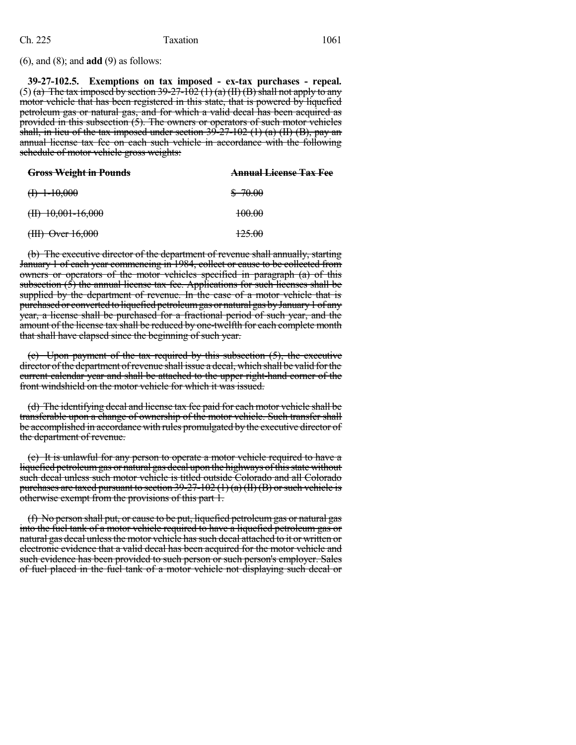(6), and (8); and **add** (9) as follows:

**39-27-102.5. Exemptions on tax imposed - ex-tax purchases - repeal.** (5) (a) The tax imposed by section  $39-27-102$  (1) (a) (II) (B) shall not apply to any motor vehicle that has been registered in this state, that is powered by liquefied petroleum gas or natural gas, and for which a valid decal has been acquired as provided in this subsection (5). The owners or operators of such motor vehicles shall, in lieu of the tax imposed under section  $39-27-102$  (1) (a) (II) (B), pay an annual license tax fee on each such vehicle in accordance with the following schedule of motor vehicle gross weights:

| <b>Gross Weight in Pounds</b> | <b>Annual License Tax Fee</b> |
|-------------------------------|-------------------------------|
| $(1) 1-10,000$                | \$ 70.00                      |
| $(H)$ 10,001-16,000           | 100.00                        |
| $(HH)$ Over $16,000$          | <del>125.00</del>             |

(b) The executive director of the department of revenue shall annually, starting January 1 of each year commencing in 1984, collect or cause to be collected from owners or operators of the motor vehicles specified in paragraph (a) of this subsection (5) the annual license tax fee. Applications for such licenses shall be supplied by the department of revenue. In the case of a motor vehicle that is purchased or converted to liquefied petroleum gas or natural gas by January 1 of any year, a license shall be purchased for a fractional period of such year, and the amount of the license tax shall be reduced by one-twelfth for each complete month that shall have elapsed since the beginning of such year.

(c) Upon payment of the tax required by this subsection (5), the executive director of the department of revenue shall issue a decal, which shall be valid for the current calendar year and shall be attached to the upper right-hand corner of the front windshield on the motor vehicle for which it was issued.

(d) The identifying decal and license tax fee paid for each motor vehicle shall be transferable upon a change of ownership of the motor vehicle. Such transfer shall be accomplished in accordance with rules promulgated by the executive director of the department of revenue.

(e) It is unlawful for any person to operate a motor vehicle required to have a liquefied petroleum gas or natural gas decal upon the highways of this state without such decal unless such motor vehicle is titled outside Colorado and all Colorado purchases are taxed pursuant to section  $39-27-102$  (1) (a) (II) (B) or such vehicle is otherwise exempt from the provisions of this part 1.

(f) No person shall put, or cause to be put, liquefied petroleumgas or natural gas into the fuel tank of a motor vehicle required to have a liquefied petroleum gas or natural gas decal unless the motor vehicle has such decal attached to it or written or electronic evidence that a valid decal has been acquired for the motor vehicle and such evidence has been provided to such person or such person's employer. Sales of fuel placed in the fuel tank of a motor vehicle not displaying such decal or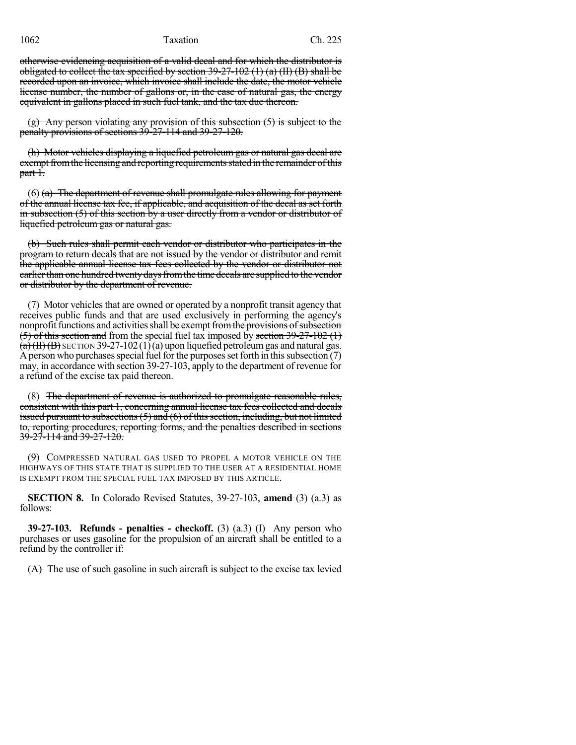1062 Taxation Ch. 225

otherwise evidencing acquisition of a valid decal and for which the distributor is obligated to collect the tax specified by section  $39-27-102$  (1) (a) (II) (B) shall be recorded upon an invoice, which invoice shall include the date, the motor vehicle license number, the number of gallons or, in the case of natural gas, the energy equivalent in gallons placed in such fuel tank, and the tax due thereon.

(g) Any person violating any provision of this subsection (5) is subject to the penalty provisions of sections 39-27-114 and 39-27-120.

(h) Motor vehicles displaying a liquefied petroleum gas or natural gas decal are exempt from the licensing and reporting requirements stated in the remainder of this part 1.

 $(6)$  (a) The department of revenue shall promulgate rules allowing for payment of the annual license tax fee, if applicable, and acquisition of the decal as set forth in subsection (5) of this section by a user directly from a vendor or distributor of liquefied petroleum gas or natural gas.

(b) Such rules shall permit each vendor or distributor who participates in the program to return decals that are not issued by the vendor or distributor and remit the applicable annual license tax fees collected by the vendor or distributor not earlier than one hundred twenty days from the time decals are supplied to the vendor or distributor by the department of revenue.

(7) Motor vehicles that are owned or operated by a nonprofit transit agency that receives public funds and that are used exclusively in performing the agency's nonprofit functions and activities shall be exempt from the provisions of subsection  $(5)$  of this section and from the special fuel tax imposed by section 39-27-102  $(1)$  $(a)(H)(B)$  SECTION 39-27-102(1)(a) upon liquefied petroleum gas and natural gas. A person who purchases special fuel for the purposes set forth in this subsection  $(7)$ may, in accordance with section 39-27-103, apply to the department of revenue for a refund of the excise tax paid thereon.

(8) The department of revenue is authorized to promulgate reasonable rules, consistent with this part 1, concerning annual license tax fees collected and decals issued pursuant to subsections  $(5)$  and  $(6)$  of this section, including, but not limited to, reporting procedures, reporting forms, and the penalties described in sections 39-27-114 and 39-27-120.

(9) COMPRESSED NATURAL GAS USED TO PROPEL A MOTOR VEHICLE ON THE HIGHWAYS OF THIS STATE THAT IS SUPPLIED TO THE USER AT A RESIDENTIAL HOME IS EXEMPT FROM THE SPECIAL FUEL TAX IMPOSED BY THIS ARTICLE.

**SECTION 8.** In Colorado Revised Statutes, 39-27-103, **amend** (3) (a.3) as follows:

**39-27-103. Refunds - penalties - checkoff.** (3) (a.3) (I) Any person who purchases or uses gasoline for the propulsion of an aircraft shall be entitled to a refund by the controller if:

(A) The use of such gasoline in such aircraft is subject to the excise tax levied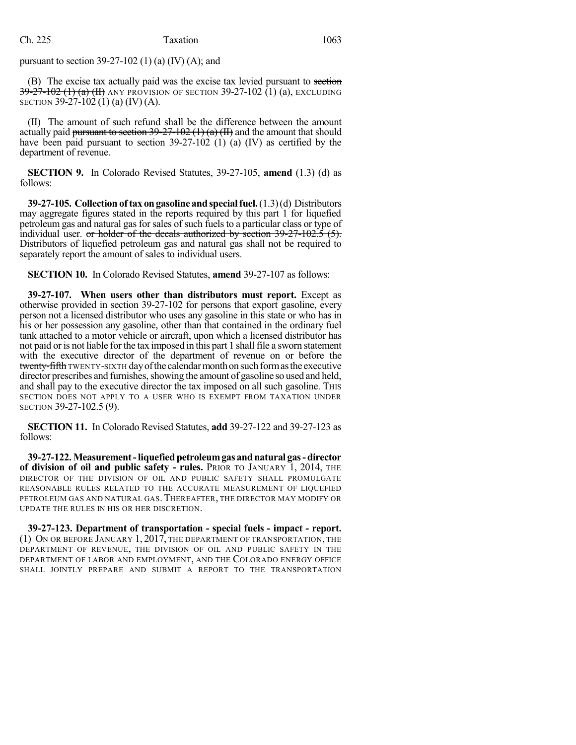pursuant to section  $39-27-102$  (1) (a) (IV) (A); and

(B) The excise tax actually paid was the excise tax levied pursuant to section  $39-27-102$  (1) (a) (II) any provision of section 39-27-102 (1) (a), excluding SECTION 39-27-102 (1) (a) (IV) (A).

(II) The amount of such refund shall be the difference between the amount actually paid pursuant to section  $39-27-102$  (1) (a) (II) and the amount that should have been paid pursuant to section 39-27-102 (1) (a) (IV) as certified by the department of revenue.

**SECTION 9.** In Colorado Revised Statutes, 39-27-105, **amend** (1.3) (d) as follows:

**39-27-105. Collection of tax ongasoline andspecialfuel.**(1.3)(d) Distributors may aggregate figures stated in the reports required by this part 1 for liquefied petroleum gas and natural gas for sales of such fuelsto a particular class or type of individual user. or holder of the decals authorized by section 39-27-102.5 (5). Distributors of liquefied petroleum gas and natural gas shall not be required to separately report the amount of sales to individual users.

**SECTION 10.** In Colorado Revised Statutes, **amend** 39-27-107 as follows:

**39-27-107. When users other than distributors must report.** Except as otherwise provided in section 39-27-102 for persons that export gasoline, every person not a licensed distributor who uses any gasoline in this state or who has in his or her possession any gasoline, other than that contained in the ordinary fuel tank attached to a motor vehicle or aircraft, upon which a licensed distributor has not paid or is not liable for the tax imposed in this part 1 shall file a sworn statement with the executive director of the department of revenue on or before the twenty-fifth TWENTY-SIXTH day of the calendar month on such form as the executive director prescribes and furnishes, showing the amount of gasoline so used and held, and shall pay to the executive director the tax imposed on all such gasoline. This SECTION DOES NOT APPLY TO A USER WHO IS EXEMPT FROM TAXATION UNDER SECTION 39-27-102.5 (9).

**SECTION 11.** In Colorado Revised Statutes, **add** 39-27-122 and 39-27-123 as follows:

**39-27-122.Measurement-liquefied petroleumgas andnatural gas-director of division of oil and public safety - rules.** PRIOR TO JANUARY 1, 2014, THE DIRECTOR OF THE DIVISION OF OIL AND PUBLIC SAFETY SHALL PROMULGATE REASONABLE RULES RELATED TO THE ACCURATE MEASUREMENT OF LIQUEFIED PETROLEUM GAS AND NATURAL GAS. THEREAFTER, THE DIRECTOR MAY MODIFY OR UPDATE THE RULES IN HIS OR HER DISCRETION.

**39-27-123. Department of transportation - special fuels - impact - report.** (1) ON OR BEFORE JANUARY 1, 2017, THE DEPARTMENT OF TRANSPORTATION, THE DEPARTMENT OF REVENUE, THE DIVISION OF OIL AND PUBLIC SAFETY IN THE DEPARTMENT OF LABOR AND EMPLOYMENT, AND THE COLORADO ENERGY OFFICE SHALL JOINTLY PREPARE AND SUBMIT A REPORT TO THE TRANSPORTATION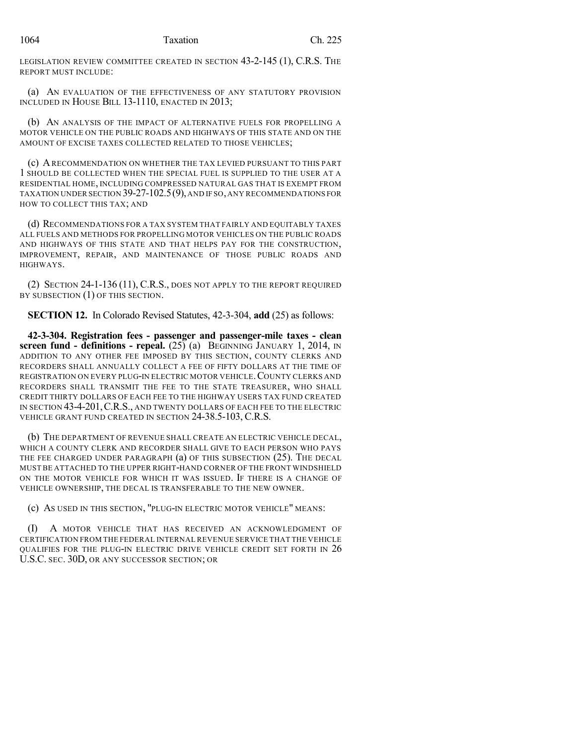LEGISLATION REVIEW COMMITTEE CREATED IN SECTION 43-2-145 (1), C.R.S. THE REPORT MUST INCLUDE:

(a) AN EVALUATION OF THE EFFECTIVENESS OF ANY STATUTORY PROVISION INCLUDED IN HOUSE BILL 13-1110, ENACTED IN 2013;

(b) AN ANALYSIS OF THE IMPACT OF ALTERNATIVE FUELS FOR PROPELLING A MOTOR VEHICLE ON THE PUBLIC ROADS AND HIGHWAYS OF THIS STATE AND ON THE AMOUNT OF EXCISE TAXES COLLECTED RELATED TO THOSE VEHICLES;

(c) ARECOMMENDATION ON WHETHER THE TAX LEVIED PURSUANT TO THIS PART 1 SHOULD BE COLLECTED WHEN THE SPECIAL FUEL IS SUPPLIED TO THE USER AT A RESIDENTIAL HOME, INCLUDING COMPRESSED NATURAL GAS THAT IS EXEMPT FROM TAXATION UNDER SECTION 39-27-102.5(9),AND IF SO,ANY RECOMMENDATIONS FOR HOW TO COLLECT THIS TAX; AND

(d) RECOMMENDATIONS FOR A TAX SYSTEM THAT FAIRLY AND EQUITABLY TAXES ALL FUELS AND METHODS FOR PROPELLING MOTOR VEHICLES ON THE PUBLIC ROADS AND HIGHWAYS OF THIS STATE AND THAT HELPS PAY FOR THE CONSTRUCTION, IMPROVEMENT, REPAIR, AND MAINTENANCE OF THOSE PUBLIC ROADS AND HIGHWAYS.

(2) SECTION 24-1-136 (11), C.R.S., DOES NOT APPLY TO THE REPORT REQUIRED BY SUBSECTION  $(1)$  OF THIS SECTION.

**SECTION 12.** In Colorado Revised Statutes, 42-3-304, **add** (25) as follows:

**42-3-304. Registration fees - passenger and passenger-mile taxes - clean screen fund - definitions - repeal.** (25) (a) BEGINNING JANUARY 1, 2014, IN ADDITION TO ANY OTHER FEE IMPOSED BY THIS SECTION, COUNTY CLERKS AND RECORDERS SHALL ANNUALLY COLLECT A FEE OF FIFTY DOLLARS AT THE TIME OF REGISTRATION ON EVERY PLUG-IN ELECTRIC MOTOR VEHICLE.COUNTY CLERKS AND RECORDERS SHALL TRANSMIT THE FEE TO THE STATE TREASURER, WHO SHALL CREDIT THIRTY DOLLARS OF EACH FEE TO THE HIGHWAY USERS TAX FUND CREATED IN SECTION 43-4-201,C.R.S., AND TWENTY DOLLARS OF EACH FEE TO THE ELECTRIC VEHICLE GRANT FUND CREATED IN SECTION 24-38.5-103, C.R.S.

(b) THE DEPARTMENT OF REVENUE SHALL CREATE AN ELECTRIC VEHICLE DECAL, WHICH A COUNTY CLERK AND RECORDER SHALL GIVE TO EACH PERSON WHO PAYS THE FEE CHARGED UNDER PARAGRAPH (a) OF THIS SUBSECTION (25). THE DECAL MUST BE ATTACHED TO THE UPPER RIGHT-HAND CORNER OF THE FRONT WINDSHIELD ON THE MOTOR VEHICLE FOR WHICH IT WAS ISSUED. IF THERE IS A CHANGE OF VEHICLE OWNERSHIP, THE DECAL IS TRANSFERABLE TO THE NEW OWNER.

(c) AS USED IN THIS SECTION, "PLUG-IN ELECTRIC MOTOR VEHICLE" MEANS:

A MOTOR VEHICLE THAT HAS RECEIVED AN ACKNOWLEDGMENT OF CERTIFICATION FROM THE FEDERAL INTERNAL REVENUE SERVICE THAT THE VEHICLE QUALIFIES FOR THE PLUG-IN ELECTRIC DRIVE VEHICLE CREDIT SET FORTH IN 26 U.S.C. SEC. 30D, OR ANY SUCCESSOR SECTION; OR